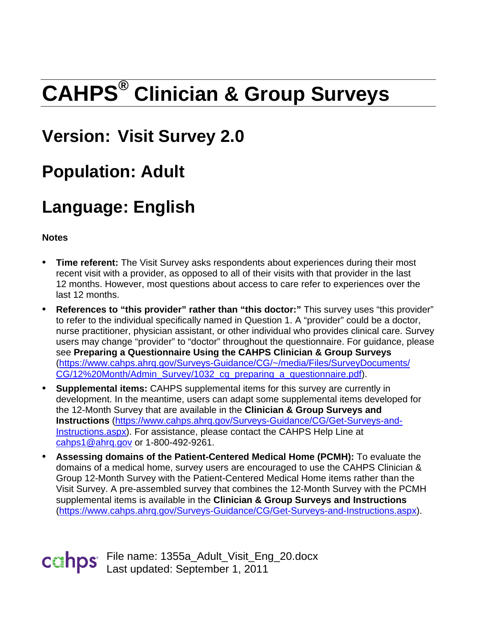# **CAHPS® Clinician & Group Surveys**

# **Version: Visit Survey 2.0**

# **Population: Adult**

# **Language: English**

**Notes**

- **Time referent:** The Visit Survey asks respondents about experiences during their most recent visit with a provider, as opposed to all of their visits with that provider in the last 12 months. However, most questions about access to care refer to experiences over the last 12 months.
- **References to "this provider" rather than "this doctor:"** This survey uses "this provider" to refer to the individual specifically named in Question 1. A "provider" could be a doctor, nurse practitioner, physician assistant, or other individual who provides clinical care. Survey users may change "provider" to "doctor" throughout the questionnaire. For guidance, please see **Preparing a Questionnaire Using the CAHPS Clinician & Group Surveys**  [\(https://www.cahps.ahrq.gov/Surveys-Guidance/CG/~/media/Files/SurveyDocuments/](https://www.cahps.ahrq.gov/Surveys-Guidance/CG/~/media/Files/SurveyDocuments/CG/12%20Month/Admin_Survey/1032_cg_preparing_a_questionnaire.pdf) [CG/12%20Month/Admin\\_Survey/1032\\_cg\\_preparing\\_a\\_questionnaire.pdf\)](https://www.cahps.ahrq.gov/Surveys-Guidance/CG/~/media/Files/SurveyDocuments/CG/12%20Month/Admin_Survey/1032_cg_preparing_a_questionnaire.pdf).
- **Supplemental items:** CAHPS supplemental items for this survey are currently in development. In the meantime, users can adapt some supplemental items developed for the 12-Month Survey that are available in the **Clinician & Group Surveys and Instructions** [\(https://www.cahps.ahrq.gov/Surveys-Guidance/CG/Get-Surveys-and-](https://www.cahps.ahrq.gov/Surveys-Guidance/CG/Get-Surveys-and-Instructions.aspx)[Instructions.aspx\)](https://www.cahps.ahrq.gov/Surveys-Guidance/CG/Get-Surveys-and-Instructions.aspx). For assistance, please contact the CAHPS Help Line at [cahps1@ahrq.gov](mailto:cahps1@ahrq.gov) or 1-800-492-9261.
- **Assessing domains of the Patient-Centered Medical Home (PCMH):** To evaluate the domains of a medical home, survey users are encouraged to use the CAHPS Clinician & Group 12-Month Survey with the Patient-Centered Medical Home items rather than the Visit Survey. A pre-assembled survey that combines the 12-Month Survey with the PCMH supplemental items is available in the **Clinician & Group Surveys and Instructions**  [\(https://www.cahps.ahrq.gov/Surveys-Guidance/CG/Get-Surveys-and-Instructions.aspx\)](https://www.cahps.ahrq.gov/Surveys-Guidance/CG/Get-Surveys-and-Instructions.aspx).

File name: 1355a\_Adult\_Visit\_Eng\_20.docx Last updated: September 1, 2011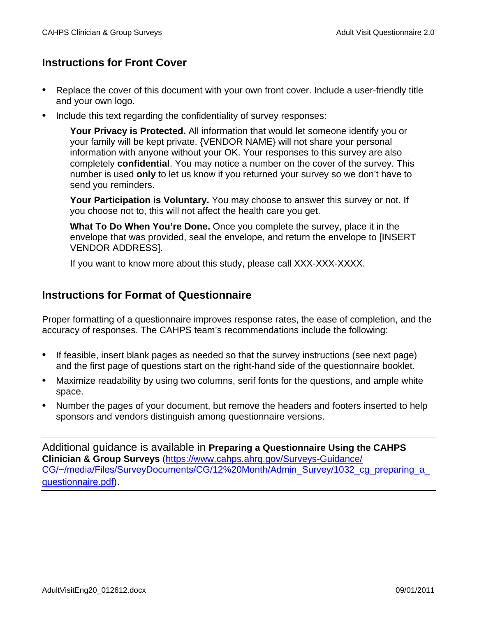# **Instructions for Front Cover**

- Replace the cover of this document with your own front cover. Include a user-friendly title and your own logo.
- Include this text regarding the confidentiality of survey responses:

**Your Privacy is Protected.** All information that would let someone identify you or your family will be kept private. {VENDOR NAME} will not share your personal information with anyone without your OK. Your responses to this survey are also completely **confidential**. You may notice a number on the cover of the survey. This number is used **only** to let us know if you returned your survey so we don't have to send you reminders.

**Your Participation is Voluntary.** You may choose to answer this survey or not. If you choose not to, this will not affect the health care you get.

**What To Do When You're Done.** Once you complete the survey, place it in the envelope that was provided, seal the envelope, and return the envelope to [INSERT VENDOR ADDRESS].

If you want to know more about this study, please call XXX-XXX-XXXX.

# **Instructions for Format of Questionnaire**

Proper formatting of a questionnaire improves response rates, the ease of completion, and the accuracy of responses. The CAHPS team's recommendations include the following:

- If feasible, insert blank pages as needed so that the survey instructions (see next page) and the first page of questions start on the right-hand side of the questionnaire booklet.
- Maximize readability by using two columns, serif fonts for the questions, and ample white space.
- Number the pages of your document, but remove the headers and footers inserted to help sponsors and vendors distinguish among questionnaire versions.

Additional guidance is available in **Preparing a Questionnaire Using the CAHPS Clinician & Group Surveys** [\(https://www.cahps.ahrq.gov/Surveys-Guidance/](https://www.cahps.ahrq.gov/Surveys-Guidance/CG/~/media/Files/SurveyDocuments/CG/12%20Month/Admin_Survey/1032_cg_preparing_a_questionnaire.pdf) CG/~/media/Files/SurveyDocuments/CG/12%20Month/Admin\_Survey/1032\_cg\_preparing\_a [questionnaire.pdf\)](https://www.cahps.ahrq.gov/Surveys-Guidance/CG/~/media/Files/SurveyDocuments/CG/12%20Month/Admin_Survey/1032_cg_preparing_a_questionnaire.pdf).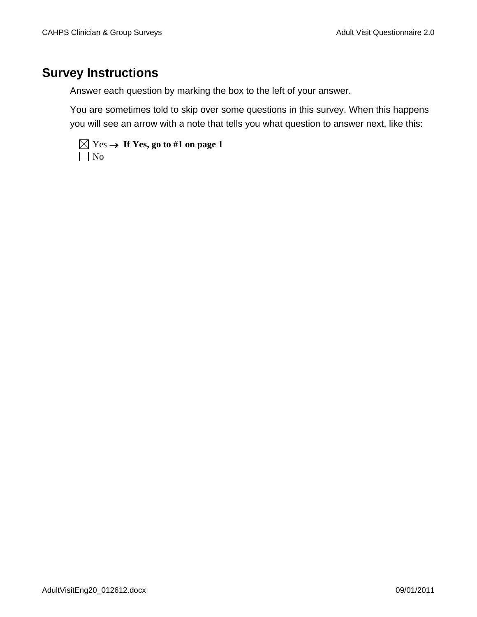# **Survey Instructions**

Answer each question by marking the box to the left of your answer.

You are sometimes told to skip over some questions in this survey. When this happens you will see an arrow with a note that tells you what question to answer next, like this:

|           | $\boxtimes$ Yes $\rightarrow$ If Yes, go to #1 on page 1 |
|-----------|----------------------------------------------------------|
| $\Box$ No |                                                          |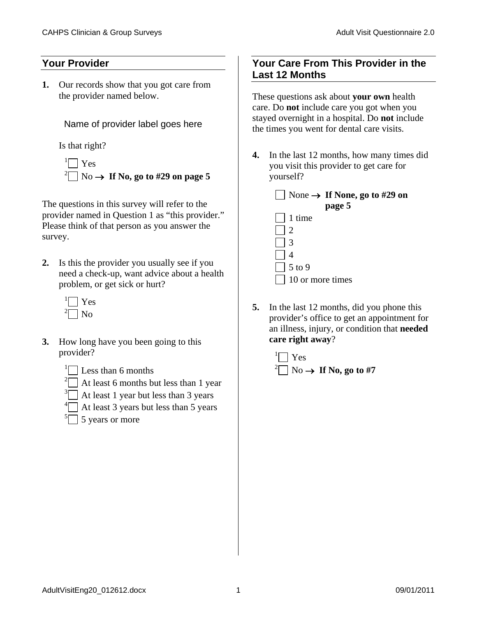### **Your Provider**

**1.** Our records show that you got care from the provider named below.

Name of provider label goes here

Is that right?

 $\Box$  Yes  $^{2}$  No  $\rightarrow$  If No, go to #29 on page 5

The questions in this survey will refer to the provider named in Question 1 as "this provider." Please think of that person as you answer the survey.

- **2.** Is this the provider you usually see if you need a check-up, want advice about a health problem, or get sick or hurt?
	- <sup>1</sup> Yes  $\exists$  No
- **3.** How long have you been going to this provider?
	- <sup>1</sup> $\Box$  Less than 6 months
	- <sup>2</sup> At least 6 months but less than 1 year
	- $\sqrt[3]{ }$  At least 1 year but less than 3 years
	- $\frac{4}{1}$  At least 3 years but less than 5 years
	- $\sqrt[5]{\hspace{1cm}}$  5 years or more

## **Your Care From This Provider in the Last 12 Months**

These questions ask about **your own** health care. Do **not** include care you got when you stayed overnight in a hospital. Do **not** include the times you went for dental care visits.

**4.** In the last 12 months, how many times did you visit this provider to get care for yourself?



- 3 4 5 to 9 10 or more times
- **5.** In the last 12 months, did you phone this provider's office to get an appointment for an illness, injury, or condition that **needed care right away**?

<sup>1</sup> 
$$
\square
$$
 Yes  
<sup>2</sup>  $\square$  No  $\rightarrow$  If No, go to #7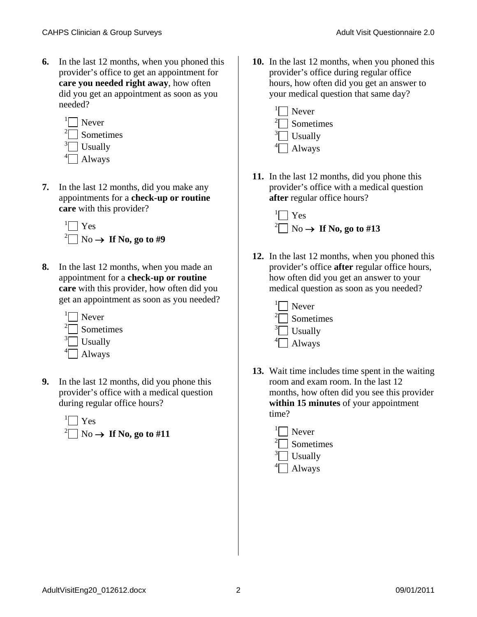**6.** In the last 12 months, when you phoned this provider's office to get an appointment for **care you needed right away**, how often did you get an appointment as soon as you needed?



**7.** In the last 12 months, did you make any appointments for a **check-up or routine care** with this provider?

<sup>1</sup> 
$$
\square
$$
 Yes  
<sup>2</sup>  $\square$  No  $\rightarrow$  If No, go to #9

- **8.** In the last 12 months, when you made an appointment for a **check-up or routine care** with this provider, how often did you get an appointment as soon as you needed?
	- $\sqrt[1]{\bigcap}$  Never  $2\Box$  Sometimes  $\sqrt[3]{ }$  Usually  $\left\vert \bigcap \right.$  Always
- **9.** In the last 12 months, did you phone this provider's office with a medical question during regular office hours?



**10.** In the last 12 months, when you phoned this provider's office during regular office hours, how often did you get an answer to your medical question that same day?



**11.** In the last 12 months, did you phone this provider's office with a medical question **after** regular office hours?



**12.** In the last 12 months, when you phoned this provider's office **after** regular office hours, how often did you get an answer to your medical question as soon as you needed?



- **13.** Wait time includes time spent in the waiting room and exam room. In the last 12 months, how often did you see this provider **within 15 minutes** of your appointment time?
	- $\Box$  Never  $^{2}$  Sometimes  $\sqrt[3]{ }$  Usually  $\left\vert \bigcap \right.$  Always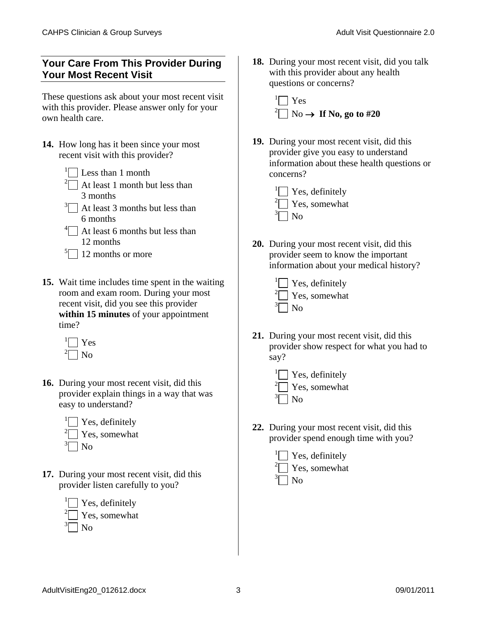## **Your Care From This Provider During Your Most Recent Visit**

These questions ask about your most recent visit with this provider. Please answer only for your own health care.

**14.** How long has it been since your most recent visit with this provider?

- $2 \Box$  At least 1 month but less than 3 months
- $3\Box$  At least 3 months but less than 6 months
- $\left\lfloor \int_{0}^{4} \right\rfloor$  At least 6 months but less than 12 months
- $\sqrt[5]{\hspace{1cm}}$  12 months or more
- **15.** Wait time includes time spent in the waiting room and exam room. During your most recent visit, did you see this provider **within 15 minutes** of your appointment time?

<sup>1</sup> Yes  $\exists$  No

- **16.** During your most recent visit, did this provider explain things in a way that was easy to understand?
	- $\vert$  Yes, definitely  $\sqrt[2]{ }$  Yes, somewhat  $\exists$  No
- **17.** During your most recent visit, did this provider listen carefully to you?



**18.** During your most recent visit, did you talk with this provider about any health questions or concerns?

<sup>1</sup> Yes  $^{2}$  No  $\rightarrow$  If No, go to #20

- **19.** During your most recent visit, did this provider give you easy to understand information about these health questions or concerns?
	- $\sqrt[1]{\ }$  Yes, definitely  $\sqrt[2]{ }$  Yes, somewhat  $\exists$  No
- **20.** During your most recent visit, did this provider seem to know the important information about your medical history?
	- $\mathbf{Y}$  Yes, definitely  $\sqrt[2]{ }$  Yes, somewhat  $\sqrt[3]{\bigcap}$  No
- **21.** During your most recent visit, did this provider show respect for what you had to say?
	- $\mathbf{Y}$  Yes, definitely  $\sqrt[2]{ }$  Yes, somewhat  $\sqrt[3]{\bigcap}$  No
- **22.** During your most recent visit, did this provider spend enough time with you?

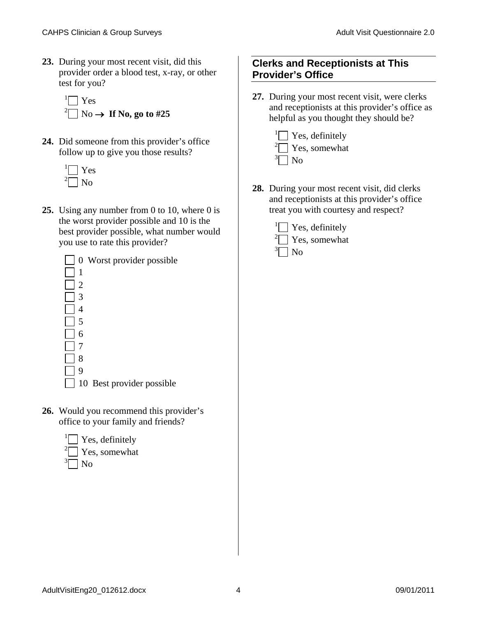**23.** During your most recent visit, did this provider order a blood test, x-ray, or other test for you?

<sup>1</sup> 
$$
\square
$$
 Yes  
<sup>2</sup>  $\square$  No  $\rightarrow$  If No, go to #25

**24.** Did someone from this provider's office follow up to give you those results?



**25.** Using any number from 0 to 10, where 0 is the worst provider possible and 10 is the best provider possible, what number would you use to rate this provider?



- 10 Best provider possible
- **26.** Would you recommend this provider's office to your family and friends?



## **Clerks and Receptionists at This Provider's Office**

**27.** During your most recent visit, were clerks and receptionists at this provider's office as helpful as you thought they should be?



**28.** During your most recent visit, did clerks and receptionists at this provider's office treat you with courtesy and respect?

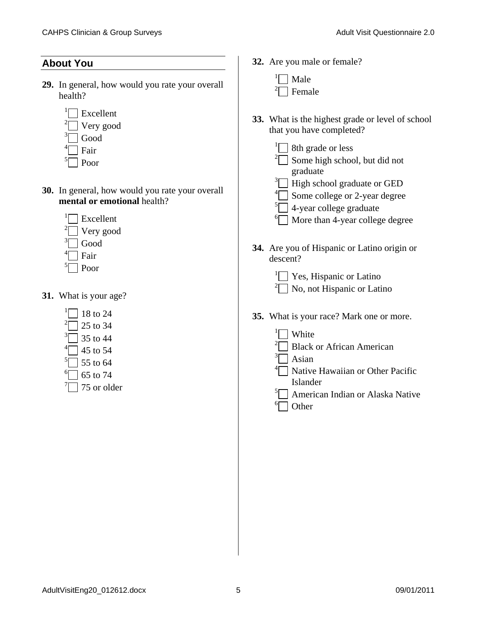#### **About You**

- **29.** In general, how would you rate your overall health?
	- $\Box$  Excellent
	- $2^2$  Very good
	- $\sqrt[3]{\hspace{1cm}}$  Good
	- $\triangleq$  Fair
	- <sup>5</sup> Poor
- **30.** In general, how would you rate your overall **mental or emotional** health?
	- <sup>1</sup> Excellent
	- $\sqrt[2]{ }$  Very good
	- $\Box$  Good
	- $\exists$  Fair
	- <sup>5</sup> Poor
- **31.** What is your age?
	- $\Box$  18 to 24
	- $\sqrt[2]$  25 to 34
	- $\sqrt[3]{}$  35 to 44
	- $\overline{4}$  45 to 54
	- $\sqrt[5]{}$  55 to 64
	- $\degree$  65 to 74
	- $\sqrt{75}$  or older
- **32.** Are you male or female?
	- <sup>1</sup> Male <sup>2</sup> Female
- **33.** What is the highest grade or level of school that you have completed?
	- $\sqrt[1]{\hspace{1cm}}$  8th grade or less  $\sqrt[2]{ }$  Some high school, but did not graduate
	- $\sqrt[3]{ }$  High school graduate or GED
	- $\sim$  Some college or 2-year degree
	- $\sqrt[5]{\hspace{1cm}}$  4-year college graduate
	- $\boxed{\phantom{0}^6}$  More than 4-year college degree
- **34.** Are you of Hispanic or Latino origin or descent?
	- $\sqrt[1]{ }$  Yes, Hispanic or Latino  $2^2$  No, not Hispanic or Latino
- **35.** What is your race? Mark one or more.
	- <sup>1</sup> White
	- <sup>2</sup> Black or African American
	- <sup>3</sup> Asian
	- $4\Box$  Native Hawaiian or Other Pacific Islander
	- $\sqrt[5]{ }$  American Indian or Alaska Native  $\lceil$  Other